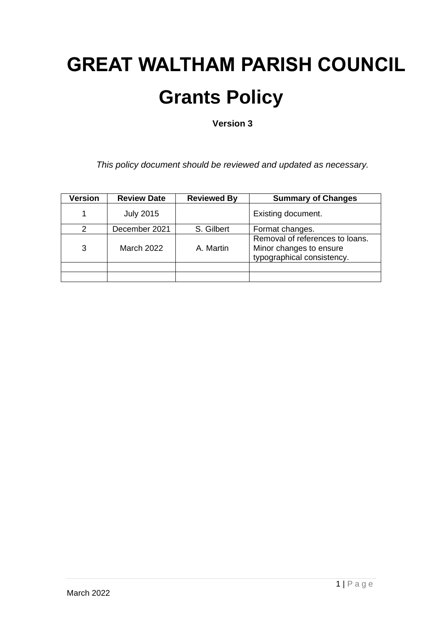# **GREAT WALTHAM PARISH COUNCIL Grants Policy**

**Version 3**

*This policy document should be reviewed and updated as necessary.*

| <b>Version</b> | <b>Review Date</b> | <b>Reviewed By</b> | <b>Summary of Changes</b>                                                                |
|----------------|--------------------|--------------------|------------------------------------------------------------------------------------------|
|                | <b>July 2015</b>   |                    | Existing document.                                                                       |
| $\mathcal{P}$  | December 2021      | S. Gilbert         | Format changes.                                                                          |
| 3              | <b>March 2022</b>  | A. Martin          | Removal of references to loans.<br>Minor changes to ensure<br>typographical consistency. |
|                |                    |                    |                                                                                          |
|                |                    |                    |                                                                                          |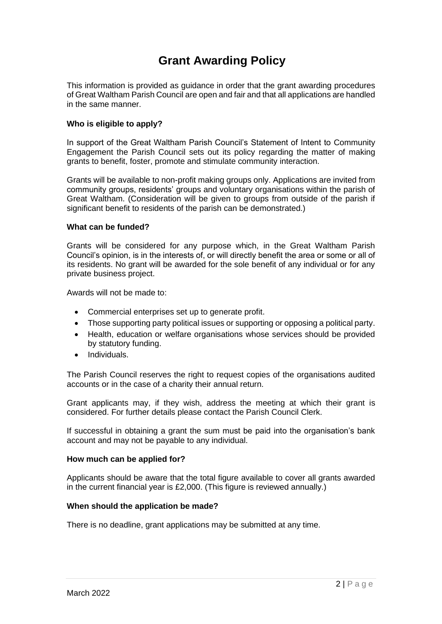# **Grant Awarding Policy**

This information is provided as guidance in order that the grant awarding procedures of Great Waltham Parish Council are open and fair and that all applications are handled in the same manner.

# **Who is eligible to apply?**

In support of the Great Waltham Parish Council's Statement of Intent to Community Engagement the Parish Council sets out its policy regarding the matter of making grants to benefit, foster, promote and stimulate community interaction.

Grants will be available to non-profit making groups only. Applications are invited from community groups, residents' groups and voluntary organisations within the parish of Great Waltham. (Consideration will be given to groups from outside of the parish if significant benefit to residents of the parish can be demonstrated.)

## **What can be funded?**

Grants will be considered for any purpose which, in the Great Waltham Parish Council's opinion, is in the interests of, or will directly benefit the area or some or all of its residents. No grant will be awarded for the sole benefit of any individual or for any private business project.

Awards will not be made to:

- Commercial enterprises set up to generate profit.
- Those supporting party political issues or supporting or opposing a political party.
- Health, education or welfare organisations whose services should be provided by statutory funding.
- Individuals.

The Parish Council reserves the right to request copies of the organisations audited accounts or in the case of a charity their annual return.

Grant applicants may, if they wish, address the meeting at which their grant is considered. For further details please contact the Parish Council Clerk.

If successful in obtaining a grant the sum must be paid into the organisation's bank account and may not be payable to any individual.

#### **How much can be applied for?**

Applicants should be aware that the total figure available to cover all grants awarded in the current financial year is £2,000. (This figure is reviewed annually.)

#### **When should the application be made?**

There is no deadline, grant applications may be submitted at any time.